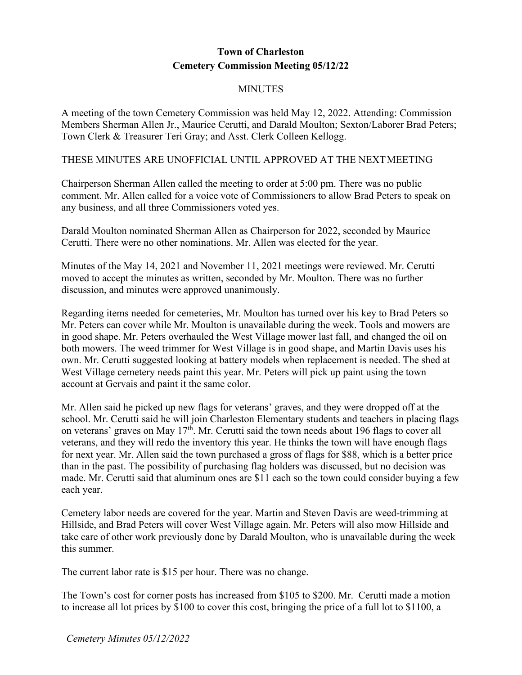## **Town of Charleston Cemetery Commission Meeting 05/12/22**

## **MINUTES**

A meeting of the town Cemetery Commission was held May 12, 2022. Attending: Commission Members Sherman Allen Jr., Maurice Cerutti, and Darald Moulton; Sexton/Laborer Brad Peters; Town Clerk & Treasurer Teri Gray; and Asst. Clerk Colleen Kellogg.

## THESE MINUTES ARE UNOFFICIAL UNTIL APPROVED AT THE NEXTMEETING

Chairperson Sherman Allen called the meeting to order at 5:00 pm. There was no public comment. Mr. Allen called for a voice vote of Commissioners to allow Brad Peters to speak on any business, and all three Commissioners voted yes.

Darald Moulton nominated Sherman Allen as Chairperson for 2022, seconded by Maurice Cerutti. There were no other nominations. Mr. Allen was elected for the year.

Minutes of the May 14, 2021 and November 11, 2021 meetings were reviewed. Mr. Cerutti moved to accept the minutes as written, seconded by Mr. Moulton. There was no further discussion, and minutes were approved unanimously.

Regarding items needed for cemeteries, Mr. Moulton has turned over his key to Brad Peters so Mr. Peters can cover while Mr. Moulton is unavailable during the week. Tools and mowers are in good shape. Mr. Peters overhauled the West Village mower last fall, and changed the oil on both mowers. The weed trimmer for West Village is in good shape, and Martin Davis uses his own. Mr. Cerutti suggested looking at battery models when replacement is needed. The shed at West Village cemetery needs paint this year. Mr. Peters will pick up paint using the town account at Gervais and paint it the same color.

Mr. Allen said he picked up new flags for veterans' graves, and they were dropped off at the school. Mr. Cerutti said he will join Charleston Elementary students and teachers in placing flags on veterans' graves on May  $17<sup>th</sup>$ . Mr. Cerutti said the town needs about 196 flags to cover all veterans, and they will redo the inventory this year. He thinks the town will have enough flags for next year. Mr. Allen said the town purchased a gross of flags for \$88, which is a better price than in the past. The possibility of purchasing flag holders was discussed, but no decision was made. Mr. Cerutti said that aluminum ones are \$11 each so the town could consider buying a few each year.

Cemetery labor needs are covered for the year. Martin and Steven Davis are weed-trimming at Hillside, and Brad Peters will cover West Village again. Mr. Peters will also mow Hillside and take care of other work previously done by Darald Moulton, who is unavailable during the week this summer.

The current labor rate is \$15 per hour. There was no change.

The Town's cost for corner posts has increased from \$105 to \$200. Mr. Cerutti made a motion to increase all lot prices by \$100 to cover this cost, bringing the price of a full lot to \$1100, a